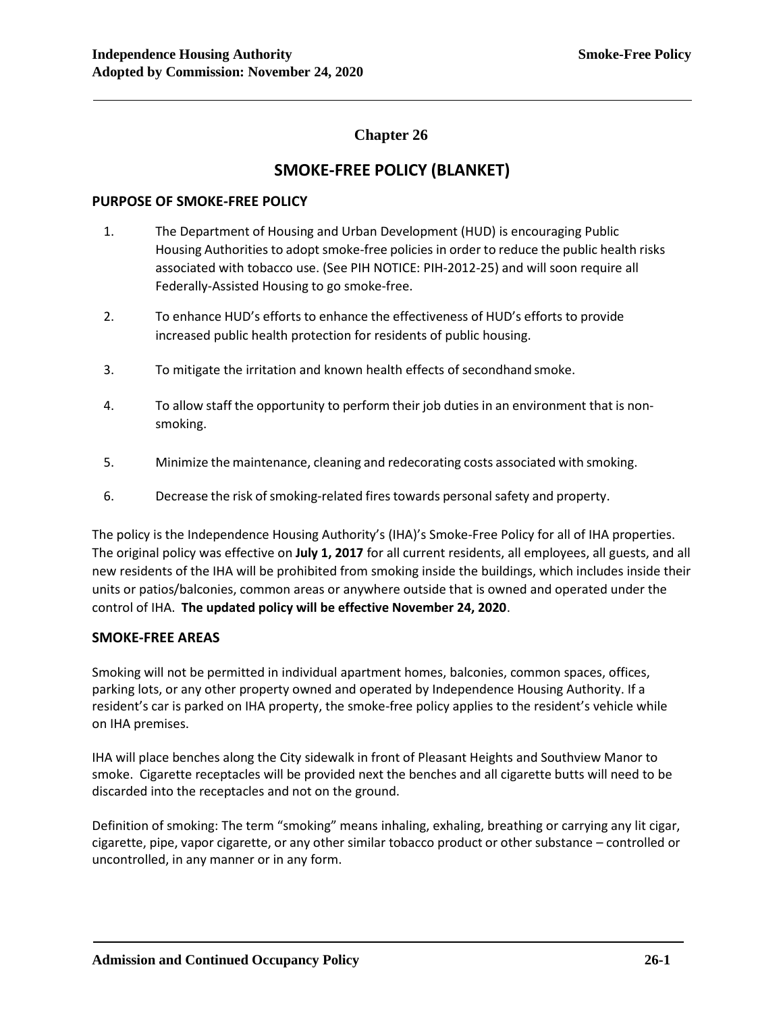## **Chapter 26**

# **SMOKE-FREE POLICY (BLANKET)**

## **PURPOSE OF SMOKE-FREE POLICY**

- 1. The Department of Housing and Urban Development (HUD) is encouraging Public Housing Authorities to adopt smoke-free policies in order to reduce the public health risks associated with tobacco use. (See PIH NOTICE: PIH-2012-25) and will soon require all Federally-Assisted Housing to go smoke-free.
- 2. To enhance HUD's efforts to enhance the effectiveness of HUD's efforts to provide increased public health protection for residents of public housing.
- 3. To mitigate the irritation and known health effects of secondhand smoke.
- 4. To allow staff the opportunity to perform their job duties in an environment that is nonsmoking.
- 5. Minimize the maintenance, cleaning and redecorating costs associated with smoking.
- 6. Decrease the risk of smoking-related fires towards personal safety and property.

The policy is the Independence Housing Authority's (IHA)'s Smoke-Free Policy for all of IHA properties. The original policy was effective on **July 1, 2017** for all current residents, all employees, all guests, and all new residents of the IHA will be prohibited from smoking inside the buildings, which includes inside their units or patios/balconies, common areas or anywhere outside that is owned and operated under the control of IHA. **The updated policy will be effective November 24, 2020**.

## **SMOKE-FREE AREAS**

Smoking will not be permitted in individual apartment homes, balconies, common spaces, offices, parking lots, or any other property owned and operated by Independence Housing Authority. If a resident's car is parked on IHA property, the smoke-free policy applies to the resident's vehicle while on IHA premises.

IHA will place benches along the City sidewalk in front of Pleasant Heights and Southview Manor to smoke. Cigarette receptacles will be provided next the benches and all cigarette butts will need to be discarded into the receptacles and not on the ground.

Definition of smoking: The term "smoking" means inhaling, exhaling, breathing or carrying any lit cigar, cigarette, pipe, vapor cigarette, or any other similar tobacco product or other substance – controlled or uncontrolled, in any manner or in any form.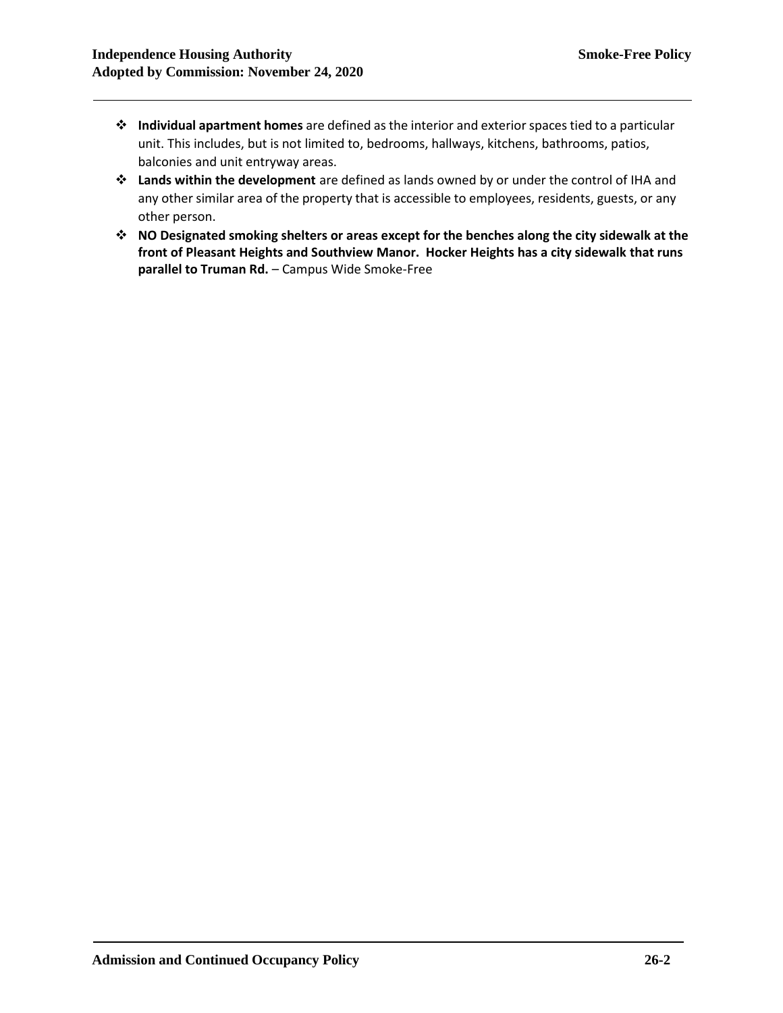- ❖ **Individual apartment homes** are defined as the interior and exterior spaces tied to a particular unit. This includes, but is not limited to, bedrooms, hallways, kitchens, bathrooms, patios, balconies and unit entryway areas.
- ❖ **Lands within the development** are defined as lands owned by or under the control of IHA and any other similar area of the property that is accessible to employees, residents, guests, or any other person.
- ❖ **NO Designated smoking shelters or areas except for the benches along the city sidewalk at the front of Pleasant Heights and Southview Manor. Hocker Heights has a city sidewalk that runs parallel to Truman Rd.** – Campus Wide Smoke-Free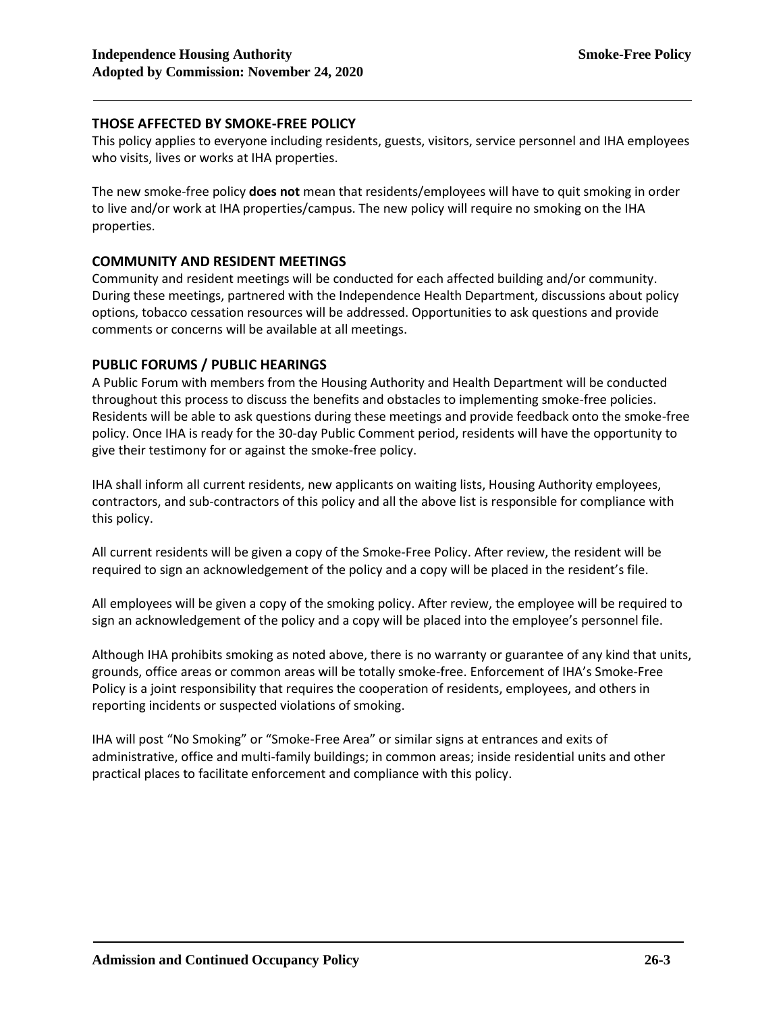## **THOSE AFFECTED BY SMOKE-FREE POLICY**

This policy applies to everyone including residents, guests, visitors, service personnel and IHA employees who visits, lives or works at IHA properties.

The new smoke-free policy **does not** mean that residents/employees will have to quit smoking in order to live and/or work at IHA properties/campus. The new policy will require no smoking on the IHA properties.

## **COMMUNITY AND RESIDENT MEETINGS**

Community and resident meetings will be conducted for each affected building and/or community. During these meetings, partnered with the Independence Health Department, discussions about policy options, tobacco cessation resources will be addressed. Opportunities to ask questions and provide comments or concerns will be available at all meetings.

### **PUBLIC FORUMS / PUBLIC HEARINGS**

A Public Forum with members from the Housing Authority and Health Department will be conducted throughout this process to discuss the benefits and obstacles to implementing smoke-free policies. Residents will be able to ask questions during these meetings and provide feedback onto the smoke-free policy. Once IHA is ready for the 30-day Public Comment period, residents will have the opportunity to give their testimony for or against the smoke-free policy.

IHA shall inform all current residents, new applicants on waiting lists, Housing Authority employees, contractors, and sub-contractors of this policy and all the above list is responsible for compliance with this policy.

All current residents will be given a copy of the Smoke-Free Policy. After review, the resident will be required to sign an acknowledgement of the policy and a copy will be placed in the resident's file.

All employees will be given a copy of the smoking policy. After review, the employee will be required to sign an acknowledgement of the policy and a copy will be placed into the employee's personnel file.

Although IHA prohibits smoking as noted above, there is no warranty or guarantee of any kind that units, grounds, office areas or common areas will be totally smoke-free. Enforcement of IHA's Smoke-Free Policy is a joint responsibility that requires the cooperation of residents, employees, and others in reporting incidents or suspected violations of smoking.

IHA will post "No Smoking" or "Smoke-Free Area" or similar signs at entrances and exits of administrative, office and multi-family buildings; in common areas; inside residential units and other practical places to facilitate enforcement and compliance with this policy.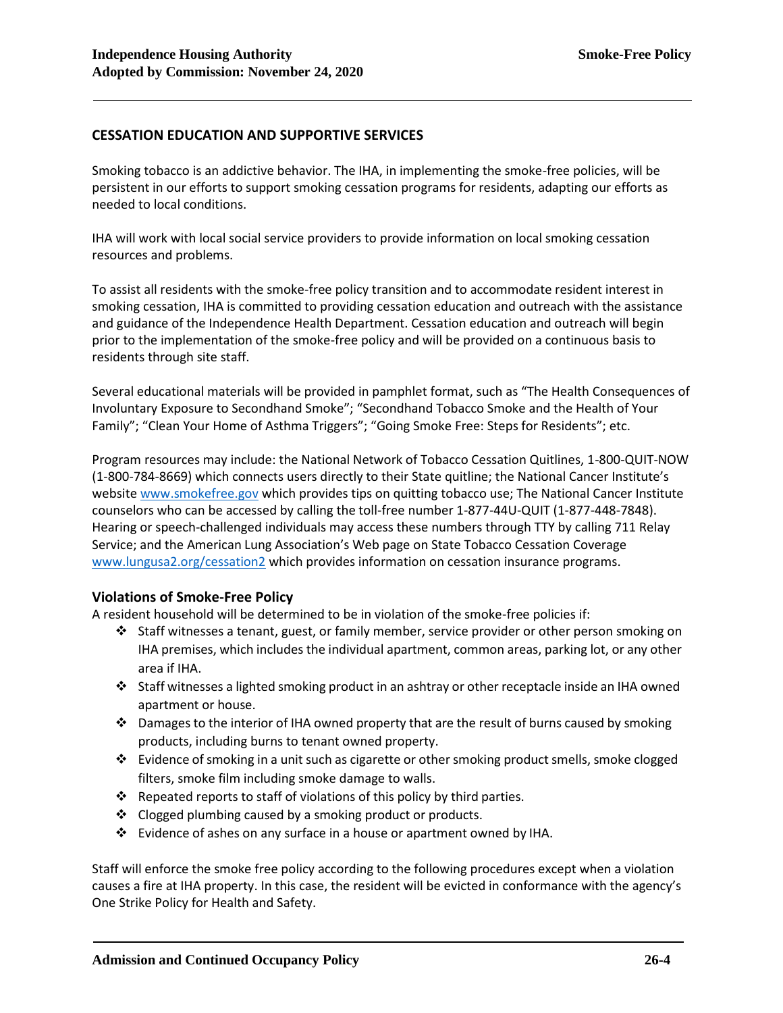## **CESSATION EDUCATION AND SUPPORTIVE SERVICES**

Smoking tobacco is an addictive behavior. The IHA, in implementing the smoke-free policies, will be persistent in our efforts to support smoking cessation programs for residents, adapting our efforts as needed to local conditions.

IHA will work with local social service providers to provide information on local smoking cessation resources and problems.

To assist all residents with the smoke-free policy transition and to accommodate resident interest in smoking cessation, IHA is committed to providing cessation education and outreach with the assistance and guidance of the Independence Health Department. Cessation education and outreach will begin prior to the implementation of the smoke-free policy and will be provided on a continuous basis to residents through site staff.

Several educational materials will be provided in pamphlet format, such as "The Health Consequences of Involuntary Exposure to Secondhand Smoke"; "Secondhand Tobacco Smoke and the Health of Your Family"; "Clean Your Home of Asthma Triggers"; "Going Smoke Free: Steps for Residents"; etc.

Program resources may include: the National Network of Tobacco Cessation Quitlines, 1-800-QUIT-NOW (1-800-784-8669) which connects users directly to their State quitline; the National Cancer Institute's websit[e www.smokefree.gov](http://www.smokefree.gov/) which provides tips on quitting tobacco use; The National Cancer Institute counselors who can be accessed by calling the toll-free number 1-877-44U-QUIT (1-877-448-7848). Hearing or speech-challenged individuals may access these numbers through TTY by calling 711 Relay Service; and the American Lung Association's Web page on State Tobacco Cessation Coverage [www.lungusa2.org/cessation2](http://www.lungusa2.org/cessation2) which provides information on cessation insurance programs.

#### **Violations of Smoke-Free Policy**

A resident household will be determined to be in violation of the smoke-free policies if:

- ❖ Staff witnesses a tenant, guest, or family member, service provider or other person smoking on IHA premises, which includes the individual apartment, common areas, parking lot, or any other area if IHA.
- ❖ Staff witnesses a lighted smoking product in an ashtray or other receptacle inside an IHA owned apartment or house.
- ❖ Damages to the interior of IHA owned property that are the result of burns caused by smoking products, including burns to tenant owned property.
- ❖ Evidence ofsmoking in a unitsuch as cigarette or othersmoking productsmells, smoke clogged filters, smoke film including smoke damage to walls.
- ❖ Repeated reports to staff of violations of this policy by third parties.
- ❖ Clogged plumbing caused by a smoking product or products.
- ❖ Evidence of ashes on any surface in a house or apartment owned by IHA.

Staff will enforce the smoke free policy according to the following procedures except when a violation causes a fire at IHA property. In this case, the resident will be evicted in conformance with the agency's One Strike Policy for Health and Safety.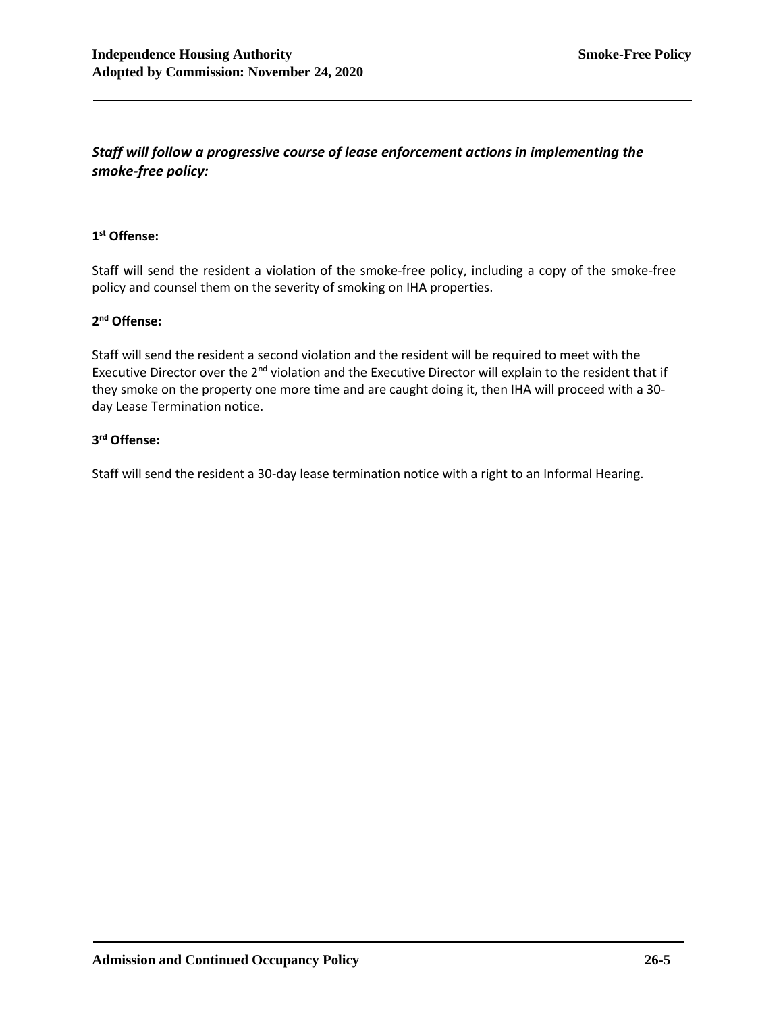## *Staff will follow a progressive course of lease enforcement actions in implementing the smoke-free policy:*

## **1 st Offense:**

Staff will send the resident a violation of the smoke-free policy, including a copy of the smoke-free policy and counsel them on the severity of smoking on IHA properties.

## **2 nd Offense:**

Staff will send the resident a second violation and the resident will be required to meet with the Executive Director over the 2<sup>nd</sup> violation and the Executive Director will explain to the resident that if they smoke on the property one more time and are caught doing it, then IHA will proceed with a 30 day Lease Termination notice.

## **3 rd Offense:**

Staff will send the resident a 30-day lease termination notice with a right to an Informal Hearing.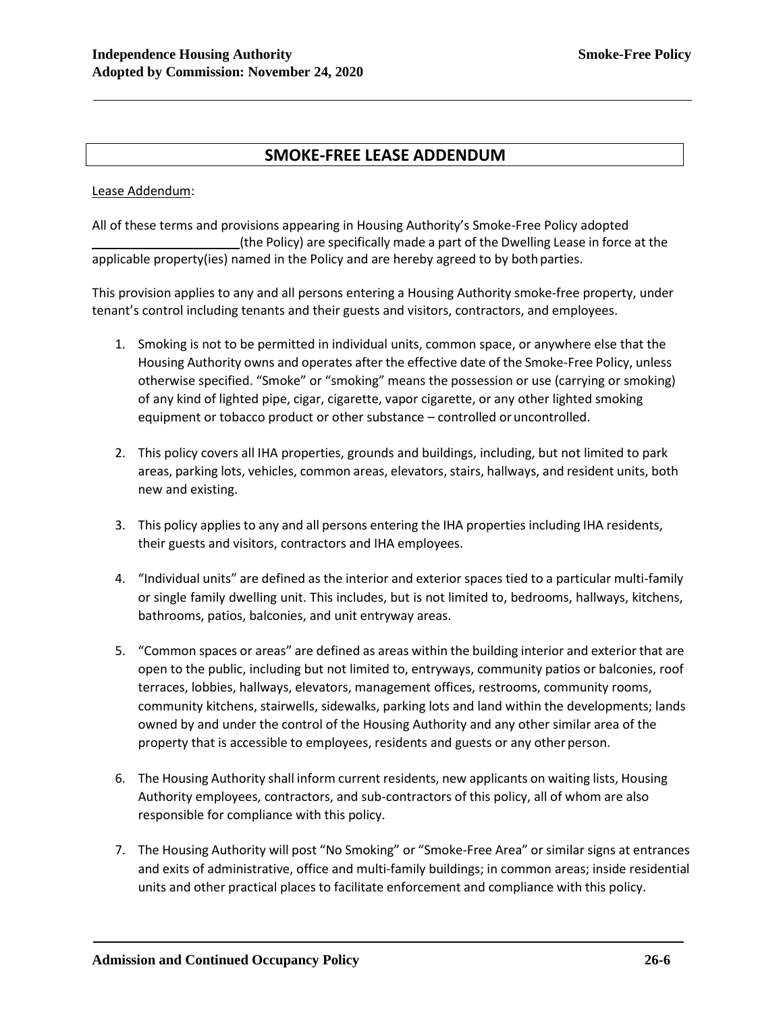## **SMOKE-FREE LEASE ADDENDUM**

Lease Addendum:

All of these terms and provisions appearing in Housing Authority's Smoke-Free Policy adopted (the Policy) are specifically made a part of the Dwelling Lease in force at the applicable property(ies) named in the Policy and are hereby agreed to by bothparties.

This provision applies to any and all persons entering a Housing Authority smoke-free property, under tenant's control including tenants and their guests and visitors, contractors, and employees.

- 1. Smoking is not to be permitted in individual units, common space, or anywhere else that the Housing Authority owns and operates after the effective date of the Smoke-Free Policy, unless otherwise specified. "Smoke" or "smoking" means the possession or use (carrying or smoking) of any kind of lighted pipe, cigar, cigarette, vapor cigarette, or any other lighted smoking equipment or tobacco product or other substance – controlled oruncontrolled.
- 2. This policy covers all IHA properties, grounds and buildings, including, but not limited to park areas, parking lots, vehicles, common areas, elevators, stairs, hallways, and resident units, both new and existing.
- 3. This policy applies to any and all persons entering the IHA properties including IHA residents, their guests and visitors, contractors and IHA employees.
- 4. "Individual units" are defined as the interior and exterior spaces tied to a particular multi-family or single family dwelling unit. This includes, but is not limited to, bedrooms, hallways, kitchens, bathrooms, patios, balconies, and unit entryway areas.
- 5. "Common spaces or areas" are defined as areas within the building interior and exterior that are open to the public, including but not limited to, entryways, community patios or balconies, roof terraces, lobbies, hallways, elevators, management offices, restrooms, community rooms, community kitchens, stairwells, sidewalks, parking lots and land within the developments; lands owned by and under the control of the Housing Authority and any other similar area of the property that is accessible to employees, residents and guests or any other person.
- 6. The Housing Authority shall inform current residents, new applicants on waiting lists, Housing Authority employees, contractors, and sub-contractors of this policy, all of whom are also responsible for compliance with this policy.
- 7. The Housing Authority will post "No Smoking" or "Smoke-Free Area" or similar signs at entrances and exits of administrative, office and multi-family buildings; in common areas; inside residential units and other practical places to facilitate enforcement and compliance with this policy.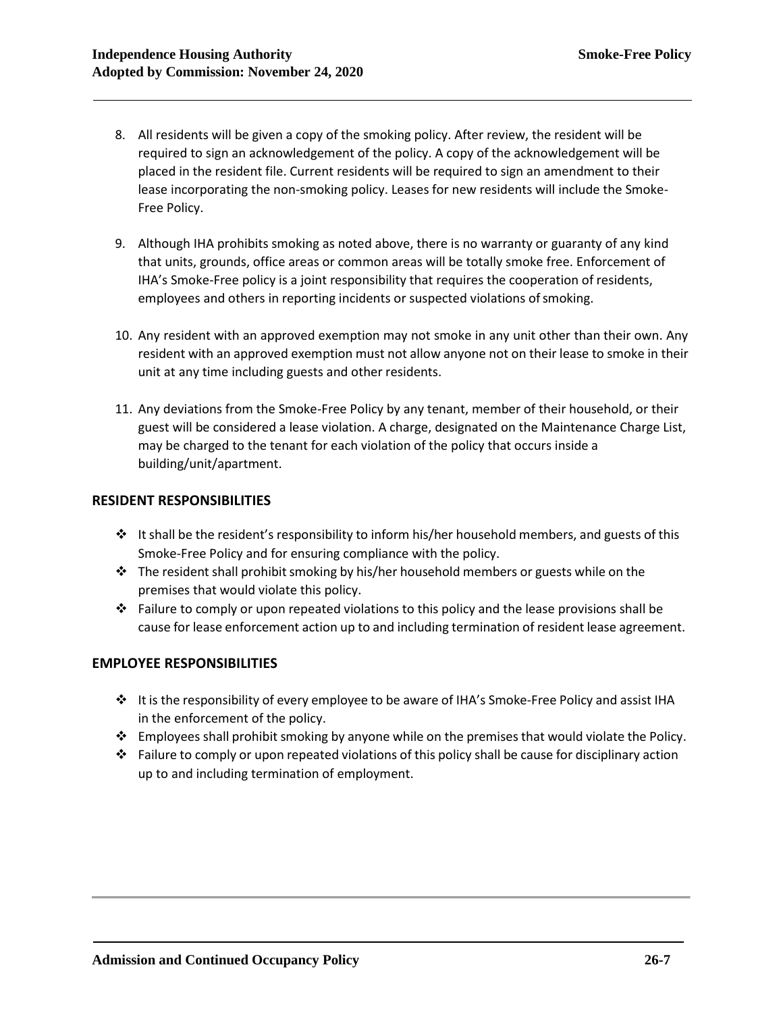- 8. All residents will be given a copy of the smoking policy. After review, the resident will be required to sign an acknowledgement of the policy. A copy of the acknowledgement will be placed in the resident file. Current residents will be required to sign an amendment to their lease incorporating the non-smoking policy. Leases for new residents will include the Smoke-Free Policy.
- 9. Although IHA prohibits smoking as noted above, there is no warranty or guaranty of any kind that units, grounds, office areas or common areas will be totally smoke free. Enforcement of IHA's Smoke-Free policy is a joint responsibility that requires the cooperation of residents, employees and others in reporting incidents or suspected violations of smoking.
- 10. Any resident with an approved exemption may not smoke in any unit other than their own. Any resident with an approved exemption must not allow anyone not on their lease to smoke in their unit at any time including guests and other residents.
- 11. Any deviations from the Smoke-Free Policy by any tenant, member of their household, or their guest will be considered a lease violation. A charge, designated on the Maintenance Charge List, may be charged to the tenant for each violation of the policy that occurs inside a building/unit/apartment.

## **RESIDENT RESPONSIBILITIES**

- ❖ It shall be the resident's responsibility to inform his/her household members, and guests of this Smoke-Free Policy and for ensuring compliance with the policy.
- $\cdot \cdot$  The resident shall prohibit smoking by his/her household members or guests while on the premises that would violate this policy.
- $♦$  Failure to comply or upon repeated violations to this policy and the lease provisions shall be cause for lease enforcement action up to and including termination of resident lease agreement.

## **EMPLOYEE RESPONSIBILITIES**

- ❖ It is the responsibility of every employee to be aware of IHA's Smoke-Free Policy and assist IHA in the enforcement of the policy.
- ❖ Employees shall prohibit smoking by anyone while on the premises that would violate the Policy.
- $\cdot \cdot$  Failure to comply or upon repeated violations of this policy shall be cause for disciplinary action up to and including termination of employment.